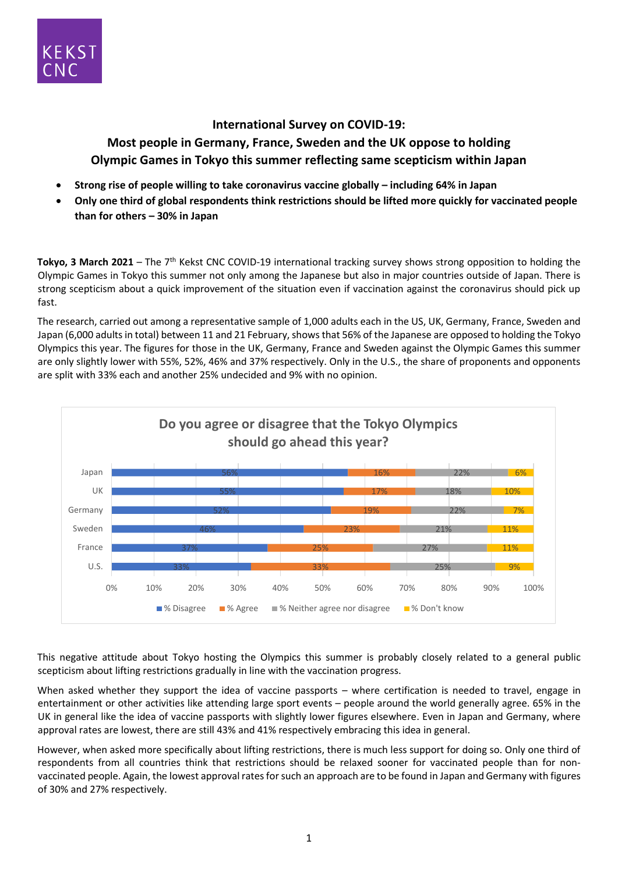

## **International Survey on COVID-19:**

**Most people in Germany, France, Sweden and the UK oppose to holding Olympic Games in Tokyo this summer reflecting same scepticism within Japan**

- **Strong rise of people willing to take coronavirus vaccine globally – including 64% in Japan**
- **Only one third of global respondents think restrictions should be lifted more quickly for vaccinated people than for others – 30% in Japan**

Tokyo, 3 March 2021 – The 7<sup>th</sup> Kekst CNC COVID-19 international tracking survey shows strong opposition to holding the Olympic Games in Tokyo this summer not only among the Japanese but also in major countries outside of Japan. There is strong scepticism about a quick improvement of the situation even if vaccination against the coronavirus should pick up fast.

The research, carried out among a representative sample of 1,000 adults each in the US, UK, Germany, France, Sweden and Japan (6,000 adults in total) between 11 and 21 February, shows that 56% of the Japanese are opposed to holding the Tokyo Olympics this year. The figures for those in the UK, Germany, France and Sweden against the Olympic Games this summer are only slightly lower with 55%, 52%, 46% and 37% respectively. Only in the U.S., the share of proponents and opponents are split with 33% each and another 25% undecided and 9% with no opinion.



This negative attitude about Tokyo hosting the Olympics this summer is probably closely related to a general public scepticism about lifting restrictions gradually in line with the vaccination progress.

When asked whether they support the idea of vaccine passports – where certification is needed to travel, engage in entertainment or other activities like attending large sport events – people around the world generally agree. 65% in the UK in general like the idea of vaccine passports with slightly lower figures elsewhere. Even in Japan and Germany, where approval rates are lowest, there are still 43% and 41% respectively embracing this idea in general.

However, when asked more specifically about lifting restrictions, there is much less support for doing so. Only one third of respondents from all countries think that restrictions should be relaxed sooner for vaccinated people than for nonvaccinated people. Again, the lowest approval rates for such an approach are to be found in Japan and Germany with figures of 30% and 27% respectively.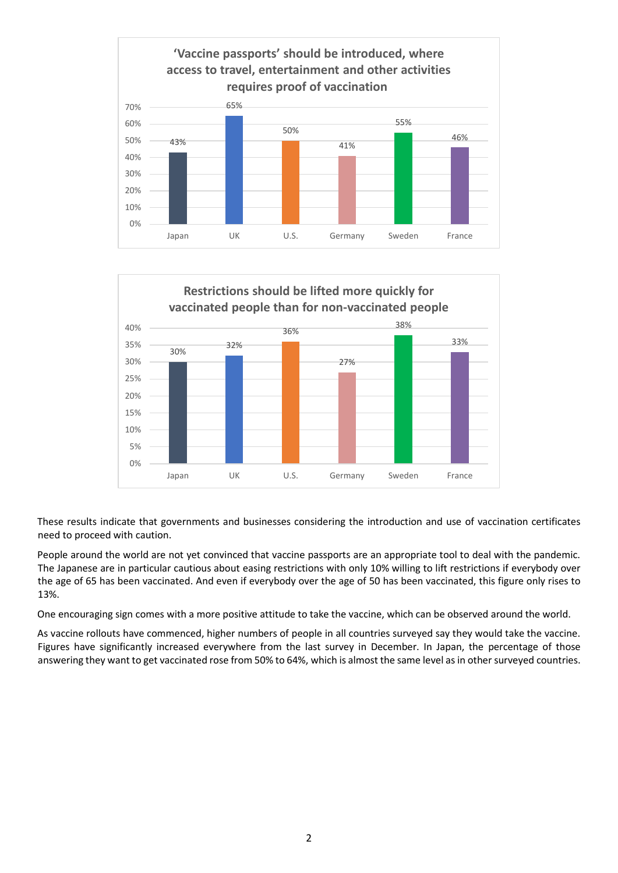



These results indicate that governments and businesses considering the introduction and use of vaccination certificates need to proceed with caution.

People around the world are not yet convinced that vaccine passports are an appropriate tool to deal with the pandemic. The Japanese are in particular cautious about easing restrictions with only 10% willing to lift restrictions if everybody over the age of 65 has been vaccinated. And even if everybody over the age of 50 has been vaccinated, this figure only rises to 13%.

One encouraging sign comes with a more positive attitude to take the vaccine, which can be observed around the world.

As vaccine rollouts have commenced, higher numbers of people in all countries surveyed say they would take the vaccine. Figures have significantly increased everywhere from the last survey in December. In Japan, the percentage of those answering they want to get vaccinated rose from 50% to 64%, which is almost the same level as in other surveyed countries.